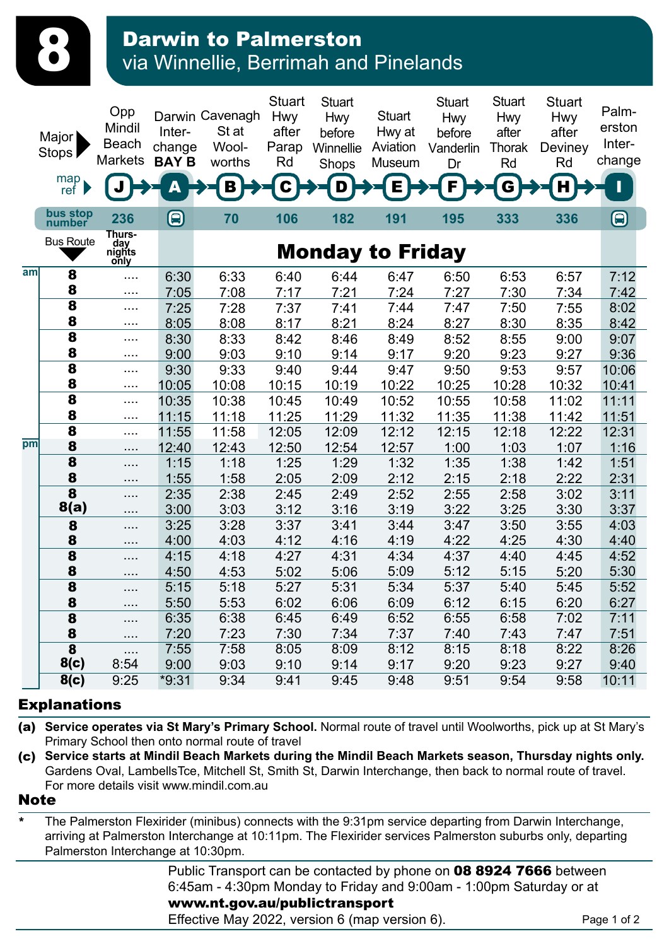| <b>Darwin to Palmerston</b>           |  |
|---------------------------------------|--|
| via Winnellie, Berrimah and Pinelands |  |

|     | Major<br>Stops  <br>map<br>ref | Opp<br>Mindil<br><b>Beach</b><br><b>Markets</b> | Inter-<br>change<br><b>BAY B</b> | Darwin Cavenagh<br>St at<br>Wool-<br>worths<br>В | <b>Stuart</b><br><b>Hwy</b><br>after<br>Parap<br>Rd<br>C | <b>Stuart</b><br><b>Hwy</b><br>before<br>Winnellie<br>Shops<br>D | <b>Stuart</b><br>Hwy at<br>Aviation<br>Museum<br>Е | <b>Stuart</b><br><b>Hwy</b><br>before<br>Vanderlin<br>Dr<br>F | <b>Stuart</b><br><b>Hwy</b><br>after<br>Thorak<br>Rd<br>G | <b>Stuart</b><br><b>Hwy</b><br>after<br>Deviney<br>Rd<br>н | Palm-<br>erston<br>Inter-<br>change<br>ī |
|-----|--------------------------------|-------------------------------------------------|----------------------------------|--------------------------------------------------|----------------------------------------------------------|------------------------------------------------------------------|----------------------------------------------------|---------------------------------------------------------------|-----------------------------------------------------------|------------------------------------------------------------|------------------------------------------|
|     | bus stop<br>number             | 236                                             | $\boldsymbol{\mathbf{\Theta}}$   | 70                                               | 106                                                      | 182                                                              | 191                                                | 195                                                           | 333                                                       | 336                                                        | 8                                        |
|     | <b>Bus Route</b>               | Thurs-<br>day<br>nights<br>only                 |                                  |                                                  |                                                          | <b>Monday to Friday</b>                                          |                                                    |                                                               |                                                           |                                                            |                                          |
| aml | 8                              | .                                               | 6:30                             | 6:33                                             | 6:40                                                     | 6:44                                                             | 6:47                                               | 6:50                                                          | 6:53                                                      | 6:57                                                       | 7:12                                     |
|     | 8                              | .                                               | 7:05                             | 7:08                                             | 7:17                                                     | 7:21                                                             | 7:24                                               | 7:27                                                          | 7:30                                                      | 7:34                                                       | 7:42                                     |
|     | 8                              | $\cdots$                                        | 7:25                             | 7:28                                             | 7:37                                                     | 7:41                                                             | 7:44                                               | 7:47                                                          | 7:50                                                      | 7:55                                                       | 8:02                                     |
|     | 8                              | .                                               | 8:05                             | 8:08                                             | 8:17                                                     | 8:21                                                             | 8:24                                               | 8:27                                                          | 8:30                                                      | 8:35                                                       | 8:42                                     |
|     | $\overline{\mathbf{8}}$        | .                                               | 8:30                             | 8:33                                             | 8:42                                                     | 8:46                                                             | 8:49                                               | 8:52                                                          | 8:55                                                      | 9:00                                                       | 9:07                                     |
|     | 8                              | .                                               | 9:00                             | 9:03                                             | 9:10                                                     | 9:14                                                             | 9:17                                               | 9:20                                                          | 9:23                                                      | 9:27                                                       | 9:36                                     |
|     | 8                              | .                                               | 9:30                             | 9:33                                             | 9:40                                                     | 9:44                                                             | 9:47                                               | 9:50                                                          | 9:53                                                      | 9:57                                                       | 10:06                                    |
|     | 8                              |                                                 | 10:05                            | 10:08                                            | 10:15                                                    | 10:19                                                            | 10:22                                              | 10:25                                                         | 10:28                                                     | 10:32                                                      | 10:41                                    |
|     | 8                              |                                                 | 10:35                            | 10:38                                            | 10:45                                                    | 10:49                                                            | 10:52                                              | 10:55                                                         | 10:58                                                     | 11:02                                                      | 11:11                                    |
|     | 8                              |                                                 | 11:15                            | 11:18                                            | 11:25                                                    | 11:29                                                            | 11:32                                              | 11:35                                                         | 11:38                                                     | 11:42                                                      | 11:51                                    |
| pm  | 8                              | $\cdots$ .                                      | 11:55                            | 11:58                                            | 12:05                                                    | 12:09                                                            | 12:12                                              | 12:15                                                         | 12:18                                                     | 12:22                                                      | 12:31                                    |
|     | 8                              | .                                               | 12:40                            | 12:43                                            | 12:50                                                    | 12:54                                                            | 12:57                                              | 1:00                                                          | 1:03                                                      | 1:07                                                       | 1:16                                     |
|     | 8                              | .                                               | 1:15                             | 1:18                                             | 1:25                                                     | 1:29                                                             | 1:32                                               | 1:35                                                          | 1:38                                                      | 1:42                                                       | 1:51                                     |
|     | 8                              |                                                 | 1:55                             | 1:58                                             | 2:05                                                     | 2:09                                                             | 2:12                                               | 2:15                                                          | 2:18                                                      | 2:22                                                       | 2:31                                     |
|     | 8                              | .                                               | 2:35                             | 2:38                                             | 2:45                                                     | 2:49                                                             | 2:52                                               | 2:55                                                          | 2:58                                                      | 3:02                                                       | 3:11                                     |
|     | 8(a)                           | .                                               | 3:00                             | 3:03                                             | 3:12                                                     | 3:16                                                             | 3:19                                               | 3:22                                                          | 3:25                                                      | 3:30                                                       | 3:37                                     |
|     | 8                              | .                                               | 3:25                             | 3:28                                             | 3:37                                                     | 3:41                                                             | 3:44                                               | 3:47                                                          | 3:50                                                      | 3:55                                                       | 4:03                                     |
|     | 8                              | .                                               | 4:00                             | 4:03                                             | 4:12                                                     | 4:16                                                             | 4:19                                               | 4:22                                                          | 4:25                                                      | 4:30                                                       | 4:40                                     |
|     | 8                              | .                                               | 4:15                             | 4:18                                             | 4:27                                                     | 4:31                                                             | 4:34                                               | 4:37                                                          | 4:40                                                      | 4:45                                                       | 4:52                                     |
|     | 8<br>8                         | $\cdots$                                        | 4:50                             | 4:53                                             | 5:02                                                     | 5:06                                                             | 5:09                                               | 5:12                                                          | 5:15                                                      | 5:20                                                       | 5:30                                     |
|     |                                |                                                 | 5:15                             | 5:18                                             | 5:27                                                     | 5:31                                                             | 5:34                                               | 5:37                                                          | 5:40                                                      | 5:45                                                       | 5:52                                     |
|     | 8                              | $\cdots$                                        | 5:50                             | 5:53                                             | 6:02                                                     | 6:06                                                             | 6:09                                               | 6:12                                                          | 6:15                                                      | 6:20                                                       | 6:27                                     |
|     | 8                              | $\ldots$                                        | 6:35                             | 6:38                                             | 6:45                                                     | 6:49                                                             | 6:52                                               | 6:55                                                          | 6:58                                                      | 7:02                                                       | 7:11                                     |
|     | 8                              | $\dots$ .                                       | 7:20                             | 7:23                                             | 7:30                                                     | 7:34                                                             | 7:37                                               | 7:40                                                          | 7:43                                                      | 7:47                                                       | 7:51                                     |
|     | 8<br>8(c)                      | $\cdots$<br>8:54                                | 7:55                             | 7:58                                             | 8:05                                                     | 8:09                                                             | 8:12                                               | 8:15<br>9:20                                                  | 8:18<br>9:23                                              | 8:22                                                       | 8:26                                     |
|     |                                |                                                 | 9:00                             | 9:03                                             | 9:10                                                     | 9:14                                                             | 9:17                                               |                                                               |                                                           | 9:27                                                       | 9:40                                     |
|     | 8(c)                           | 9:25                                            | $*9:31$                          | 9:34                                             | 9:41                                                     | 9:45                                                             | 9:48                                               | 9:51                                                          | 9:54                                                      | 9:58                                                       | 10:11                                    |

## Explanations

 $\mathbf{G}$ 

(a) **Service operates via St Mary's Primary School.** Normal route of travel until Woolworths, pick up at St Mary's Primary School then onto normal route of travel

(c) **Service starts at Mindil Beach Markets during the Mindil Beach Markets season, Thursday nights only.**  Gardens Oval, LambellsTce, Mitchell St, Smith St, Darwin Interchange, then back to normal route of travel. For more details visit www.mindil.com.au

## **Note**

\* The Palmerston Flexirider (minibus) connects with the 9:31pm service departing from Darwin Interchange, arriving at Palmerston Interchange at 10:11pm. The Flexirider services Palmerston suburbs only, departing Palmerston Interchange at 10:30pm.

> Public Transport can be contacted by phone on 08 8924 7666 between 6:45am - 4:30pm Monday to Friday and 9:00am - 1:00pm Saturday or at www.nt.gov.au/publictransport

Effective May 2022, version 6 (map version 6).